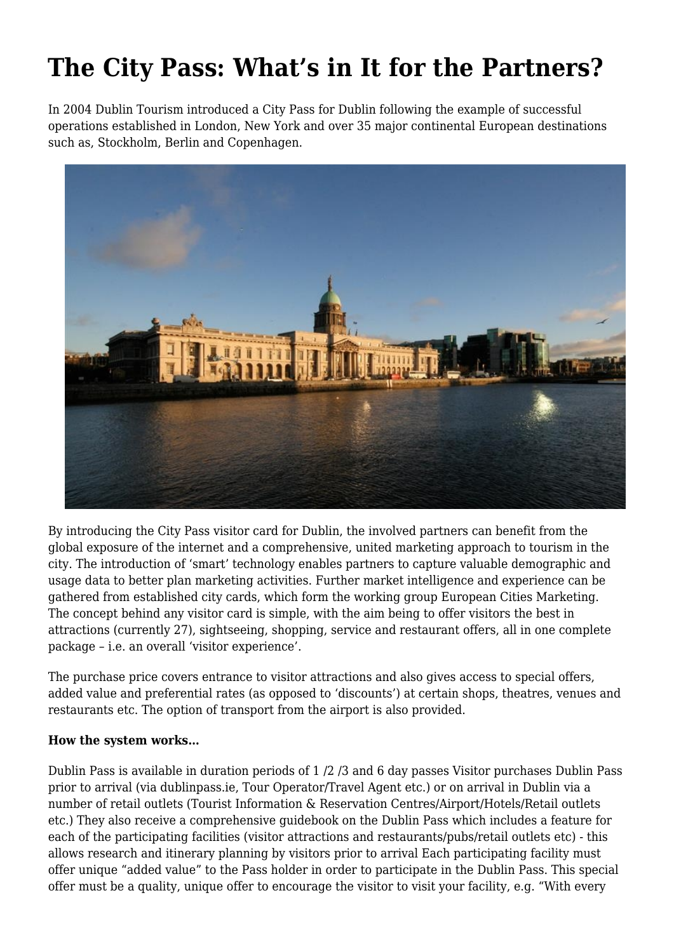# **The City Pass: What's in It for the Partners?**

In 2004 Dublin Tourism introduced a City Pass for Dublin following the example of successful operations established in London, New York and over 35 major continental European destinations such as, Stockholm, Berlin and Copenhagen.



By introducing the City Pass visitor card for Dublin, the involved partners can benefit from the global exposure of the internet and a comprehensive, united marketing approach to tourism in the city. The introduction of 'smart' technology enables partners to capture valuable demographic and usage data to better plan marketing activities. Further market intelligence and experience can be gathered from established city cards, which form the working group European Cities Marketing. The concept behind any visitor card is simple, with the aim being to offer visitors the best in attractions (currently 27), sightseeing, shopping, service and restaurant offers, all in one complete package – i.e. an overall 'visitor experience'.

The purchase price covers entrance to visitor attractions and also gives access to special offers, added value and preferential rates (as opposed to 'discounts') at certain shops, theatres, venues and restaurants etc. The option of transport from the airport is also provided.

#### **How the system works…**

Dublin Pass is available in duration periods of 1 /2 /3 and 6 day passes Visitor purchases Dublin Pass prior to arrival (via dublinpass.ie, Tour Operator/Travel Agent etc.) or on arrival in Dublin via a number of retail outlets (Tourist Information & Reservation Centres/Airport/Hotels/Retail outlets etc.) They also receive a comprehensive guidebook on the Dublin Pass which includes a feature for each of the participating facilities (visitor attractions and restaurants/pubs/retail outlets etc) - this allows research and itinerary planning by visitors prior to arrival Each participating facility must offer unique "added value" to the Pass holder in order to participate in the Dublin Pass. This special offer must be a quality, unique offer to encourage the visitor to visit your facility, e.g. "With every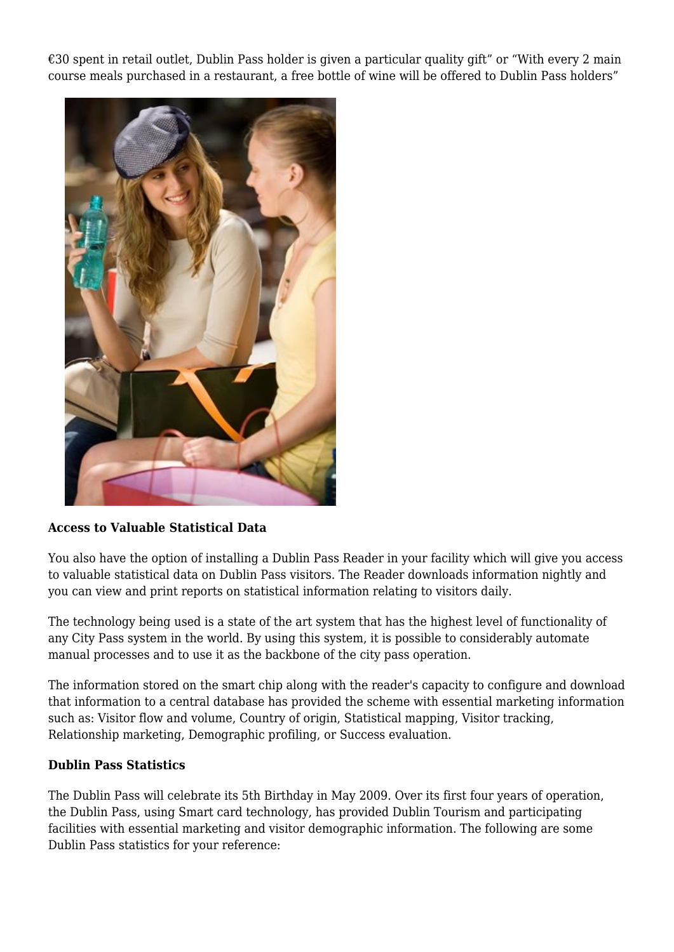€30 spent in retail outlet, Dublin Pass holder is given a particular quality gift" or "With every 2 main course meals purchased in a restaurant, a free bottle of wine will be offered to Dublin Pass holders"



## **Access to Valuable Statistical Data**

You also have the option of installing a Dublin Pass Reader in your facility which will give you access to valuable statistical data on Dublin Pass visitors. The Reader downloads information nightly and you can view and print reports on statistical information relating to visitors daily.

The technology being used is a state of the art system that has the highest level of functionality of any City Pass system in the world. By using this system, it is possible to considerably automate manual processes and to use it as the backbone of the city pass operation.

The information stored on the smart chip along with the reader's capacity to configure and download that information to a central database has provided the scheme with essential marketing information such as: Visitor flow and volume, Country of origin, Statistical mapping, Visitor tracking, Relationship marketing, Demographic profiling, or Success evaluation.

#### **Dublin Pass Statistics**

The Dublin Pass will celebrate its 5th Birthday in May 2009. Over its first four years of operation, the Dublin Pass, using Smart card technology, has provided Dublin Tourism and participating facilities with essential marketing and visitor demographic information. The following are some Dublin Pass statistics for your reference: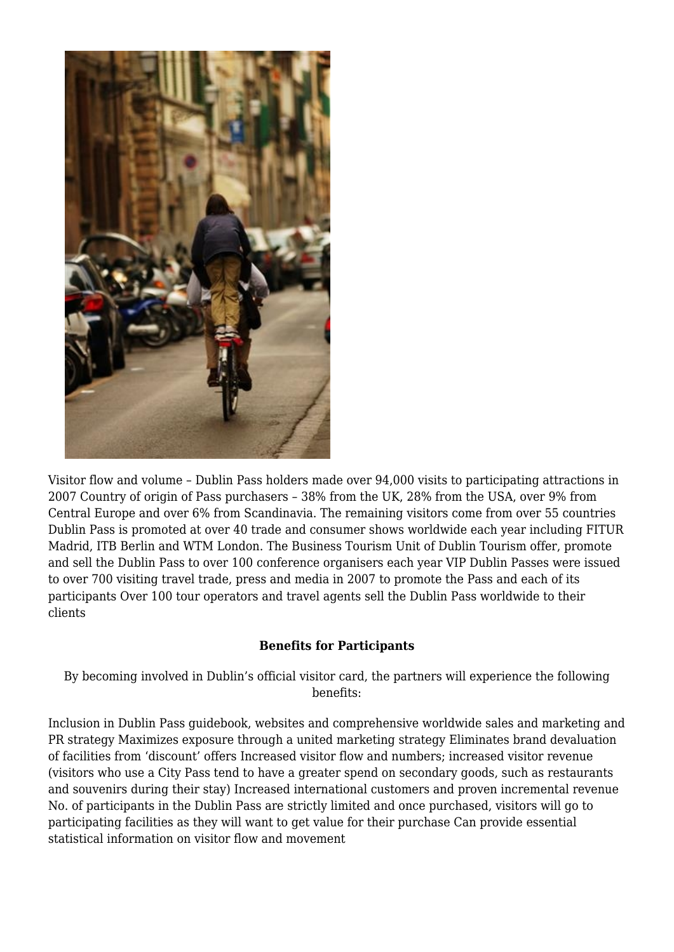

Visitor flow and volume – Dublin Pass holders made over 94,000 visits to participating attractions in 2007 Country of origin of Pass purchasers – 38% from the UK, 28% from the USA, over 9% from Central Europe and over 6% from Scandinavia. The remaining visitors come from over 55 countries Dublin Pass is promoted at over 40 trade and consumer shows worldwide each year including FITUR Madrid, ITB Berlin and WTM London. The Business Tourism Unit of Dublin Tourism offer, promote and sell the Dublin Pass to over 100 conference organisers each year VIP Dublin Passes were issued to over 700 visiting travel trade, press and media in 2007 to promote the Pass and each of its participants Over 100 tour operators and travel agents sell the Dublin Pass worldwide to their clients

## **Benefits for Participants**

By becoming involved in Dublin's official visitor card, the partners will experience the following benefits:

Inclusion in Dublin Pass guidebook, websites and comprehensive worldwide sales and marketing and PR strategy Maximizes exposure through a united marketing strategy Eliminates brand devaluation of facilities from 'discount' offers Increased visitor flow and numbers; increased visitor revenue (visitors who use a City Pass tend to have a greater spend on secondary goods, such as restaurants and souvenirs during their stay) Increased international customers and proven incremental revenue No. of participants in the Dublin Pass are strictly limited and once purchased, visitors will go to participating facilities as they will want to get value for their purchase Can provide essential statistical information on visitor flow and movement